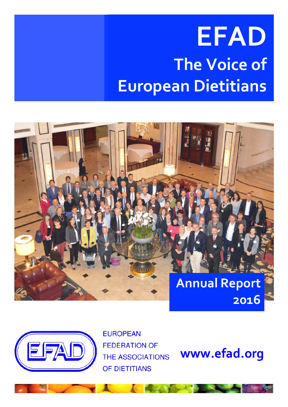# **EFAD The Voice of European Dietitians**





**EUROPEAN FEDERATION OF THE ASSOCIATIONS** OF DIETITIANS

**www.efad.org**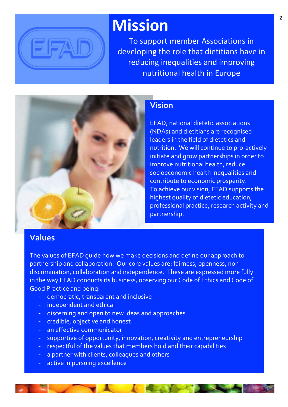

### **Mission**

To support member Associations in developing the role that dietitians have in reducing inequalities and improving nutritional health in Europe



#### **Vision**

EFAD, national dietetic associations (NDAs) and dietitians are recognised leaders in the field of dietetics and nutrition. We will continue to pro-actively initiate and grow partnerships in order to improve nutritional health, reduce socioeconomic health inequalities and contribute to economic prosperity. To achieve our vision, EFAD supports the highest quality of dietetic education, professional practice, research activity and partnership. 

#### **Values**

The values of EFAD quide how we make decisions and define our approach to partnership and collaboration. Our core values are: fairness, openness, nondiscrimination, collaboration and independence. These are expressed more fully in the way EFAD conducts its business, observing our Code of Ethics and Code of Good Practice and being:

- democratic, transparent and inclusive
- independent and ethical
- discerning and open to new ideas and approaches
- credible, objective and honest
- an effective communicator
- supportive of opportunity, innovation, creativity and entrepreneurship
- respectful of the values that members hold and their capabilities
- a partner with clients, colleagues and others
- active in pursuing excellence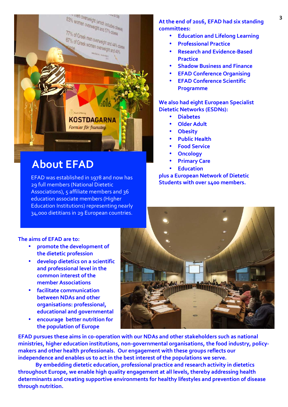

### **About EFAD**

EFAD was established in 1978 and now has 29 full members (National Dietetic Associations), 5 affiliate members and 36 education associate members (Higher Education Institutions) representing nearly 34,000 dietitians in 29 European countries.

#### **3** At the end of 2016, EFAD had six standing **3 committees:**

- **Education and Lifelong Learning**
- **Professional Practice**
- **Research and Evidence-Based Practice**
- **Shadow Business and Finance**
- **EFAD Conference Organising**
- **EFAD Conference Scientific Programme**

**We also had eight European Specialist Dietetic Networks (ESDNs):**

- **Diabetes**
- **Older Adult**
- **Obesity**
- **Public Health**
- **Food Service**
- **Oncology**
- **Primary Care**
- **Education**

**plus a European Network of Dietetic Students with over 1400 members.** 

#### The aims of **EFAD** are to:

- promote the development of **the dietetic profession**
- **develop dietetics on a scientific**  and professional level in the **common** interest of the **member Associations**
- **facilitate communication between NDAs and other organisations: professional, educational and governmental**
- **•** encourage better nutrition for **the population of Europe**



**EFAD** pursues these aims in co-operation with our NDAs and other stakeholders such as national ministries, higher education institutions, non-governmental organisations, the food industry, policymakers and other health professionals. Our engagement with these groups reflects our independence and enables us to act in the best interest of the populations we serve.

By embedding dietetic education, professional practice and research activity in dietetics throughout Europe, we enable high quality engagement at all levels, thereby addressing health determinants and creating supportive environments for healthy lifestyles and prevention of disease **through nutrition.**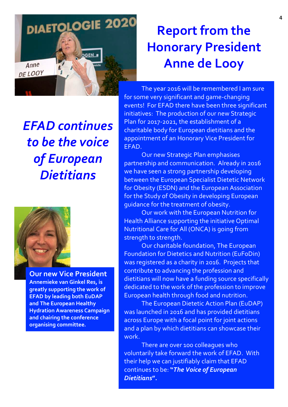

*EFAD continues to be the voice*  **of European** *Dietitians*



**Our new Vice President Annemieke van Ginkel Res, is greatly supporting the work of EFAD by leading both EuDAP** and The European Healthy **Hydration Awareness Campaign** and chairing the conference **organising committee.** 

### **Report from the Honorary President Anne de Looy**

The year 2016 will be remembered I am sure for some very significant and game-changing events! For EFAD there have been three significant initiatives: The production of our new Strategic Plan for 2017-2021, the establishment of a charitable body for European dietitians and the appointment of an Honorary Vice President for EFAD.

Our new Strategic Plan emphasises partnership and communication. Already in 2016 we have seen a strong partnership developing between the European Specialist Dietetic Network for Obesity (ESDN) and the European Association for the Study of Obesity in developing European guidance for the treatment of obesity.

Our work with the European Nutrition for Health Alliance supporting the initiative Optimal Nutritional Care for All (ONCA) is going from strength to strength.

Our charitable foundation, The European Foundation for Dietetics and Nutrition (EuFoDin) was registered as a charity in 2016. Projects that contribute to advancing the profession and dietitians will now have a funding source specifically dedicated to the work of the profession to improve European health through food and nutrition.

The European Dietetic Action Plan (EuDAP) was launched in 2016 and has provided dietitians across Europe with a focal point for joint actions and a plan by which dietitians can showcase their work.

There are over 100 colleagues who voluntarily take forward the work of EFAD. With their help we can justifiably claim that EFAD continues to be: "The Voice of European *Dietitians***".**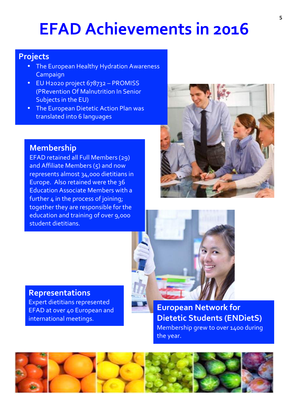## **EFAD Achievements in 2016**

#### **Projects**

- The European Healthy Hydration Awareness Campaign
- EU H2020 project 678732 PROMISS (PRevention Of Malnutrition In Senior Subjects in the EU)
- The European Dietetic Action Plan was translated into 6 languages

#### **Membership**

**Representations**

international meetings.

Expert dietitians represented EFAD at over 40 European and

EFAD retained all Full Members (29) and Affiliate Members  $(5)$  and now represents almost 34,000 dietitians in Europe. Also retained were the 36 **Education Associate Members with a** further  $4$  in the process of joining; together they are responsible for the education and training of over 9,000 student dietitians.



**European Network for Dietetic Students (ENDietS)** Membership grew to over 1400 during the year.

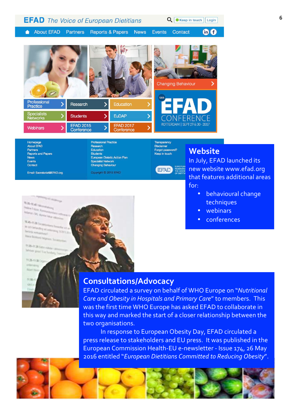| <b>EFAD</b> The Voice of European Dietitians<br>Q<br>Keep in touch<br>Login |                                |                             |                                |               |                                 |          |
|-----------------------------------------------------------------------------|--------------------------------|-----------------------------|--------------------------------|---------------|---------------------------------|----------|
| <b>About EFAD</b>                                                           | Partners                       | <b>Reports &amp; Papers</b> | <b>News</b>                    | <b>Events</b> | <b>Contact</b>                  | $in$ $f$ |
|                                                                             |                                |                             |                                | 10th          | <b>Changing Behaviour</b>       |          |
| Professional<br>Practice                                                    | Research                       |                             | Education                      |               |                                 |          |
| <b>Specialists</b><br><b>Networks</b>                                       | <b>Students</b>                | ⋗                           | <b>EuDAP</b>                   |               | CONFERENCE                      |          |
| <b>Webinars</b>                                                             | <b>EFAD 2015</b><br>Conforonce |                             | <b>EFAD 2017</b><br>Conforonce |               | ROTTERDAM   SEPT 29 & 30 - 2017 |          |

Homepage **About EFAD** Partners **Reports and Papers News** Events Contact

Email: Secretariat@EFAD.org

**Professional Practice** Research Education Students European Dietetic Action Plan Specialist Network **Changing Behaviour** Copyright © 2015 EFAD

Keep in touch (EFAD)

**Transparency** 

Disclaimer Forgot password?

### **Website**

In July, EFAD launched its new website www.efad.org that features additional areas for: 

- · behavioural change techniques
- webinars
- conferences



**Printing Rider** 

**In any Setundary of Articles Street East 1**<br>Design accounting of Articles and **Maria Buy** 

**MARINEER** behave provided furthering.

**TEM-TEM** 



#### **Consultations/Advocacy**

EFAD circulated a survey on behalf of WHO Europe on "*Nutritional Care and Obesity in Hospitals and Primary Care"* to members. This was the first time WHO Europe has asked EFAD to collaborate in this way and marked the start of a closer relationship between the two organisations.

In response to European Obesity Day, EFAD circulated a press release to stakeholders and EU press. It was published in the European Commission Health-EU e-newsletter - Issue 174, 26 May 2016 entitled "*European Dietitians Committed to Reducing Obesity"*.

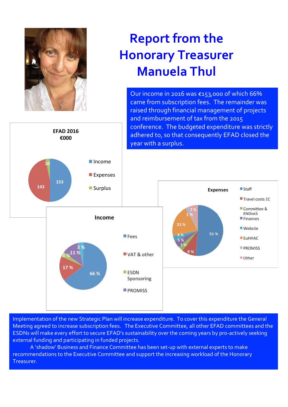

**EFAD 2016 €000** 

### **Report from the Honorary Treasurer Manuela Thul**

Our income in 2016 was  $\epsilon$ 153,000 of which 66% came from subscription fees. The remainder was raised through financial management of projects and reimbursement of tax from the 2015 conference. The budgeted expenditure was strictly adhered to, so that consequently EFAD closed the year with a surplus.



Implementation of the new Strategic Plan will increase expenditure. To cover this expenditure the General Meeting agreed to increase subscription fees. The Executive Committee, all other EFAD committees and the ESDNs will make every effort to secure EFAD's sustainability over the coming years by pro-actively seeking external funding and participating in funded projects.

A 'shadow' Business and Finance Committee has been set-up with external experts to make recommendations to the Executive Committee and support the increasing workload of the Honorary Treasurer.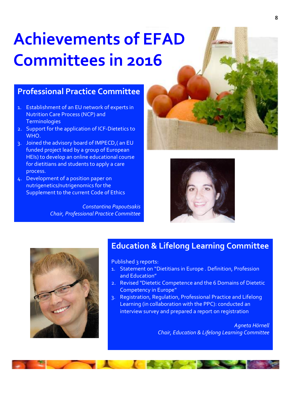# **Achievements of EFAD Committees in 2016**

#### **Professional Practice Committee**

- 1. Establishment of an EU network of experts in Nutrition Care Process (NCP) and **Terminologies**
- 2. Support for the application of ICF-Dietetics to WHO.
- 3. Joined the advisory board of IMPECD, (an EU funded project lead by a group of European HEIs) to develop an online educational course for dietitians and students to apply a care process.
- 4. Development of a position paper on nutrigenetics/nutrigenomics for the Supplement to the current Code of Ethics

*Constantina Papoutsakis Chair, Professional Practice Committee* 





#### **Education & Lifelong Learning Committee**

Published 3 reports:

- 1. Statement on "Dietitians in Europe . Definition, Profession and Education"
- 2. Revised "Dietetic Competence and the 6 Domains of Dietetic Competency in Europe"
- 3. Registration, Regulation, Professional Practice and Lifelong Learning (in collaboration with the PPC): conducted an interview survey and prepared a report on registration

*Agneta Hörnell* **Chair, Education & Lifelong Learning Committee**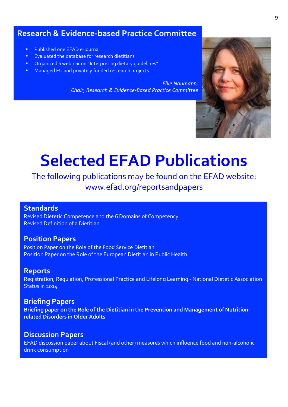#### **Research & Evidence-based Practice Committee**

- Published one EFAD e-journal
- **Evaluated the database for research dietitians**
- **Organized a webinar on "Interpreting dietary quidelines"**
- **Managed EU and privately funded res earch projects**

*Elke Naumann.* **Chair, Research & Evidence-Based Practice Committee** 



## **Selected EFAD Publications**

The following publications may be found on the EFAD website: www.efad.org/reportsandpapers

#### **Standards**

Revised Dietetic Competence and the 6 Domains of Competency Revised Definition of a Dietitian

#### **Position Papers**

Position Paper on the Role of the Food Service Dietitian Position Paper on the Role of the European Dietitian in Public Health

#### **Reports**

Registration, Regulation, Professional Practice and Lifelong Learning - National Dietetic Association Status in 2014

#### **Briefing Papers**

Briefing paper on the Role of the Dietitian in the Prevention and Management of Nutrition**related Disorders in Older Adults** 

#### **Discussion Papers**

EFAD discussion paper about Fiscal (and other) measures which influence food and non-alcoholic drink consumption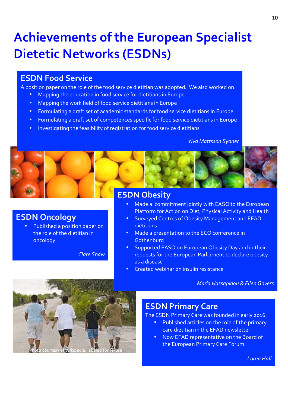### **Achievements of the European Specialist Dietetic Networks (ESDNs)**

#### **ESDN Food Service**

**ESDN Oncology**

oncology

A position paper on the role of the food service dietitian was adopted. We also worked on:

- Mapping the education in food service for dietitians in Europe
- Mapping the work field of food service dietitians in Europe
- Formulating a draft set of academic standards for food service dietitians in Europe
- Formulating a draft set of competences specific for food service dietitians in Europe
- Investigating the feasibility of registration for food service dietitians

#### *Ylva Mattsson Sydner*



#### **ESDN Obesity**

- Made a commitment jointly with EASO to the European Platform for Action on Diet, Physical Activity and Health
- Surveyed Centres of Obesity Management and EFAD dietitians
- Made a presentation to the ECO conference in **Gothenburg**
- Supported EASO on European Obesity Day and in their requests for the European Parliament to declare obesity as a disease
- Created webinar on insulin resistance

*Maria Hassapidou & Ellen Govers*



Published a position paper on the role of the dietitian in

*Clare Shaw*

#### **ESDN Primary Care**

The ESDN Primary Care was founded in early 2016.

- Published articles on the role of the primary care dietitian in the EFAD newsletter
- Now EFAD representative on the Board of the European Primary Care Forum

*Lorna Hall*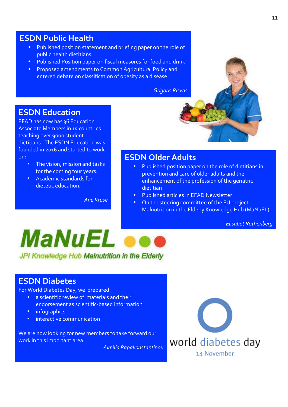#### **ESDN Public Health**

- Published position statement and briefing paper on the role of public health dietitians
- Published Position paper on fiscal measures for food and drink
- Proposed amendments to Common Agricultural Policy and entered debate on classification of obesity as a disease

*Grigoris Risvas*

#### **ESDN Education**

EFAD has now has 36 Education Associate Members in 15 countries teaching over 9000 student dietitians. The ESDN Education was founded in 2016 and started to work on:

- The vision, mission and tasks for the coming four years.
- Academic standards for dietetic education.

*Ane Kruse*

#### **ESDN Older Adults**

- Published position paper on the role of dietitians in prevention and care of older adults and the enhancement of the profession of the geriatric dietitian
- Published articles in EFAD Newsletter
- On the steering committee of the EU project Malnutrition in the Elderly Knowledge Hub (MaNuEL)

*Elisabet Rothenberg*



#### **ESDN Diabetes**

For World Diabetes Day, we prepared:

- a scientific review of materials and their endorsement as scientific-based information
- infographics
- interactive communication

We are now looking for new members to take forward our work in this important area.

*Aimilia Papakonstantinou*